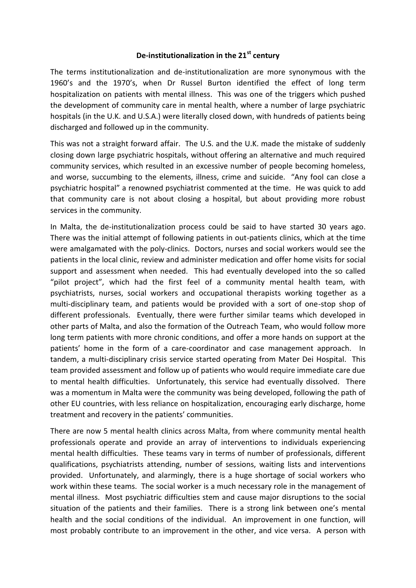## **De-institutionalization in the 21st century**

The terms institutionalization and de-institutionalization are more synonymous with the 1960's and the 1970's, when Dr Russel Burton identified the effect of long term hospitalization on patients with mental illness. This was one of the triggers which pushed the development of community care in mental health, where a number of large psychiatric hospitals (in the U.K. and U.S.A.) were literally closed down, with hundreds of patients being discharged and followed up in the community.

This was not a straight forward affair. The U.S. and the U.K. made the mistake of suddenly closing down large psychiatric hospitals, without offering an alternative and much required community services, which resulted in an excessive number of people becoming homeless, and worse, succumbing to the elements, illness, crime and suicide. "Any fool can close a psychiatric hospital" a renowned psychiatrist commented at the time. He was quick to add that community care is not about closing a hospital, but about providing more robust services in the community.

In Malta, the de-institutionalization process could be said to have started 30 years ago. There was the initial attempt of following patients in out-patients clinics, which at the time were amalgamated with the poly-clinics. Doctors, nurses and social workers would see the patients in the local clinic, review and administer medication and offer home visits for social support and assessment when needed. This had eventually developed into the so called "pilot project", which had the first feel of a community mental health team, with psychiatrists, nurses, social workers and occupational therapists working together as a multi-disciplinary team, and patients would be provided with a sort of one-stop shop of different professionals. Eventually, there were further similar teams which developed in other parts of Malta, and also the formation of the Outreach Team, who would follow more long term patients with more chronic conditions, and offer a more hands on support at the patients' home in the form of a care-coordinator and case management approach. In tandem, a multi-disciplinary crisis service started operating from Mater Dei Hospital. This team provided assessment and follow up of patients who would require immediate care due to mental health difficulties. Unfortunately, this service had eventually dissolved. There was a momentum in Malta were the community was being developed, following the path of other EU countries, with less reliance on hospitalization, encouraging early discharge, home treatment and recovery in the patients' communities.

There are now 5 mental health clinics across Malta, from where community mental health professionals operate and provide an array of interventions to individuals experiencing mental health difficulties. These teams vary in terms of number of professionals, different qualifications, psychiatrists attending, number of sessions, waiting lists and interventions provided. Unfortunately, and alarmingly, there is a huge shortage of social workers who work within these teams. The social worker is a much necessary role in the management of mental illness. Most psychiatric difficulties stem and cause major disruptions to the social situation of the patients and their families. There is a strong link between one's mental health and the social conditions of the individual. An improvement in one function, will most probably contribute to an improvement in the other, and vice versa. A person with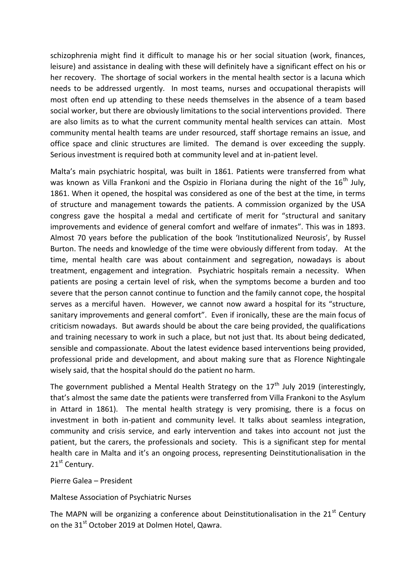schizophrenia might find it difficult to manage his or her social situation (work, finances, leisure) and assistance in dealing with these will definitely have a significant effect on his or her recovery. The shortage of social workers in the mental health sector is a lacuna which needs to be addressed urgently. In most teams, nurses and occupational therapists will most often end up attending to these needs themselves in the absence of a team based social worker, but there are obviously limitations to the social interventions provided. There are also limits as to what the current community mental health services can attain. Most community mental health teams are under resourced, staff shortage remains an issue, and office space and clinic structures are limited. The demand is over exceeding the supply. Serious investment is required both at community level and at in-patient level.

Malta's main psychiatric hospital, was built in 1861. Patients were transferred from what was known as Villa Frankoni and the Ospizio in Floriana during the night of the  $16^{th}$  July, 1861. When it opened, the hospital was considered as one of the best at the time, in terms of structure and management towards the patients. A commission organized by the USA congress gave the hospital a medal and certificate of merit for "structural and sanitary improvements and evidence of general comfort and welfare of inmates". This was in 1893. Almost 70 years before the publication of the book 'Institutionalized Neurosis', by Russel Burton. The needs and knowledge of the time were obviously different from today. At the time, mental health care was about containment and segregation, nowadays is about treatment, engagement and integration. Psychiatric hospitals remain a necessity. When patients are posing a certain level of risk, when the symptoms become a burden and too severe that the person cannot continue to function and the family cannot cope, the hospital serves as a merciful haven. However, we cannot now award a hospital for its "structure, sanitary improvements and general comfort". Even if ironically, these are the main focus of criticism nowadays. But awards should be about the care being provided, the qualifications and training necessary to work in such a place, but not just that. Its about being dedicated, sensible and compassionate. About the latest evidence based interventions being provided, professional pride and development, and about making sure that as Florence Nightingale wisely said, that the hospital should do the patient no harm.

The government published a Mental Health Strategy on the  $17<sup>th</sup>$  July 2019 (interestingly, that's almost the same date the patients were transferred from Villa Frankoni to the Asylum in Attard in 1861). The mental health strategy is very promising, there is a focus on investment in both in-patient and community level. It talks about seamless integration, community and crisis service, and early intervention and takes into account not just the patient, but the carers, the professionals and society. This is a significant step for mental health care in Malta and it's an ongoing process, representing Deinstitutionalisation in the 21<sup>st</sup> Century.

Pierre Galea – President

Maltese Association of Psychiatric Nurses

The MAPN will be organizing a conference about Deinstitutionalisation in the  $21<sup>st</sup>$  Century on the 31<sup>st</sup> October 2019 at Dolmen Hotel, Qawra.